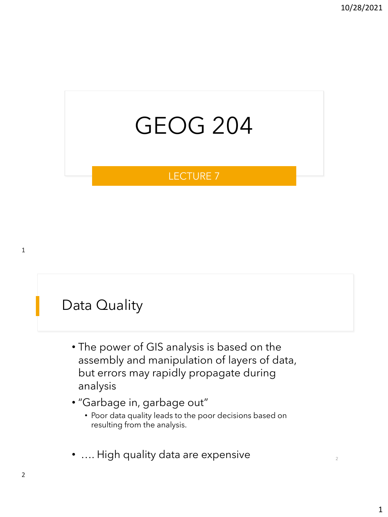# GEOG 204

#### LECTURE 7

#### Data Quality

- The power of GIS analysis is based on the assembly and manipulation of layers of data, but errors may rapidly propagate during analysis
- "Garbage in, garbage out"
	- Poor data quality leads to the poor decisions based on resulting from the analysis.
- $\ldots$  High quality data are expensive  $\qquad \qquad \qquad \ldots$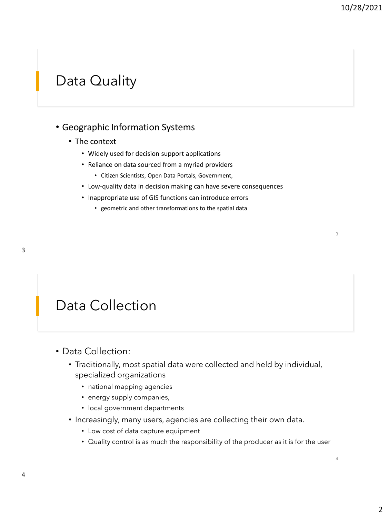4

#### Data Quality

#### • Geographic Information Systems

- The context
	- Widely used for decision support applications
	- Reliance on data sourced from a myriad providers
		- Citizen Scientists, Open Data Portals, Government,
	- Low-quality data in decision making can have severe consequences
	- Inappropriate use of GIS functions can introduce errors
		- geometric and other transformations to the spatial data

#### Data Collection

- Data Collection:
	- Traditionally, most spatial data were collected and held by individual, specialized organizations
		- national mapping agencies
		- energy supply companies,
		- local government departments
	- Increasingly, many users, agencies are collecting their own data.
		- Low cost of data capture equipment
		- Quality control is as much the responsibility of the producer as it is for the user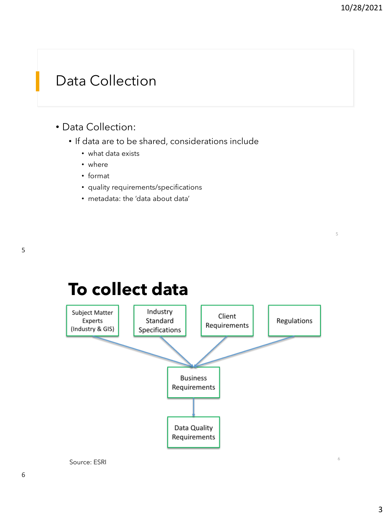6

#### Data Collection

#### • Data Collection:

- If data are to be shared, considerations include
	- what data exists
	- where
	- format
	- quality requirements/specifications
	- metadata: the 'data about data'



#### **To collect data**

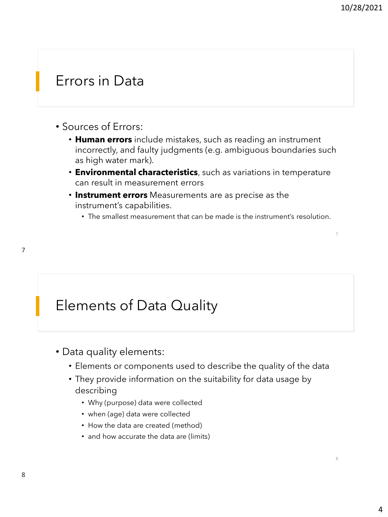8

#### Errors in Data

- Sources of Errors:
	- **Human errors** include mistakes, such as reading an instrument incorrectly, and faulty judgments (e.g. ambiguous boundaries such as high water mark).
	- **Environmental characteristics**, such as variations in temperature can result in measurement errors
	- **Instrument errors** Measurements are as precise as the instrument's capabilities.
		- The smallest measurement that can be made is the instrument's resolution.

#### Elements of Data Quality

- Data quality elements:
	- Elements or components used to describe the quality of the data
	- They provide information on the suitability for data usage by describing
		- Why (purpose) data were collected
		- when (age) data were collected
		- How the data are created (method)
		- and how accurate the data are (limits)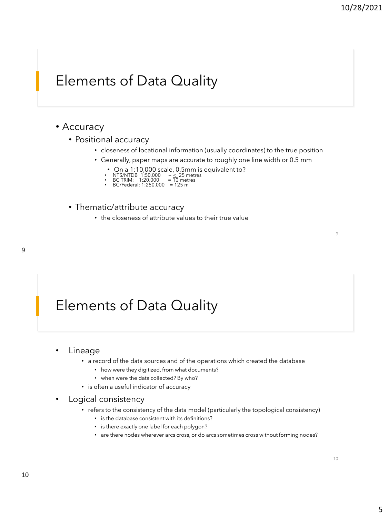### Elements of Data Quality

#### • Accuracy

- Positional accuracy
	- closeness of locational information (usually coordinates) to the true position
	- Generally, paper maps are accurate to roughly one line width or 0.5 mm
		- On a 1:10,000 scale, 0.5mm is equivalent to?
		-
		- NTS/NTDB 1:50,000 = < 25 metres BC TRIM: 1:20,000 = 10 metres BC/Federal: 1:250,000 = 125 m
- Thematic/attribute accuracy
	- the closeness of attribute values to their true value

### Elements of Data Quality

#### • Lineage

- a record of the data sources and of the operations which created the database
	- how were they digitized, from what documents?
	- when were the data collected? By who?
- is often a useful indicator of accuracy

#### • Logical consistency

- refers to the consistency of the data model (particularly the topological consistency)
	- is the database consistent with its definitions?
	- is there exactly one label for each polygon?
	- are there nodes wherever arcs cross, or do arcs sometimes cross without forming nodes?

 $\overline{Q}$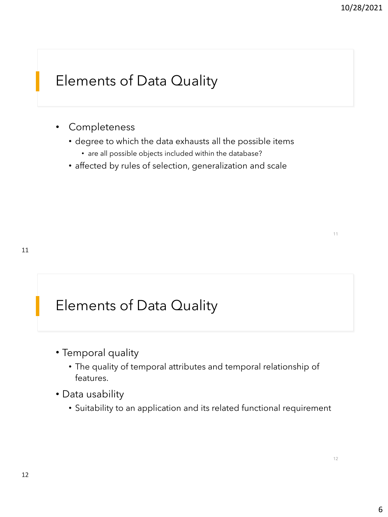# Elements of Data Quality

- Completeness
	- degree to which the data exhausts all the possible items
		- are all possible objects included within the database?
	- affected by rules of selection, generalization and scale

### Elements of Data Quality

- Temporal quality
	- The quality of temporal attributes and temporal relationship of features.
- Data usability
	- Suitability to an application and its related functional requirement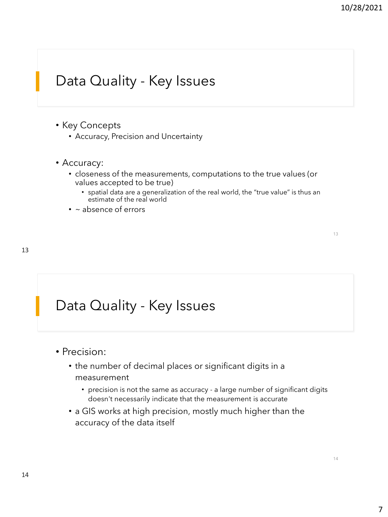### Data Quality - Key Issues

- Key Concepts
	- Accuracy, Precision and Uncertainty
- Accuracy:
	- closeness of the measurements, computations to the true values (or values accepted to be true)
		- spatial data are a generalization of the real world, the "true value" is thus an estimate of the real world
	- ~ absence of errors

13

#### Data Quality - Key Issues

- Precision:
	- the number of decimal places or significant digits in a measurement
		- precision is not the same as accuracy a large number of significant digits doesn't necessarily indicate that the measurement is accurate
	- a GIS works at high precision, mostly much higher than the accuracy of the data itself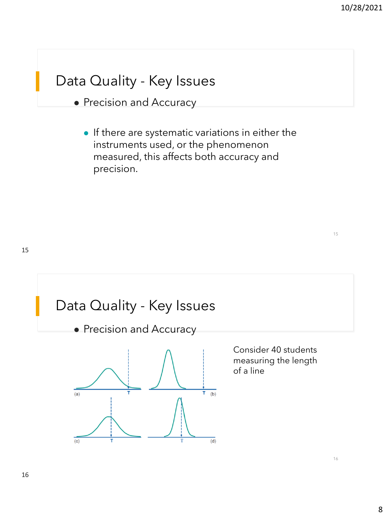16

### Data Quality - Key Issues

- ⚫ Precision and Accuracy
	- ⚫ If there are systematic variations in either the instruments used, or the phenomenon measured, this affects both accuracy and precision.

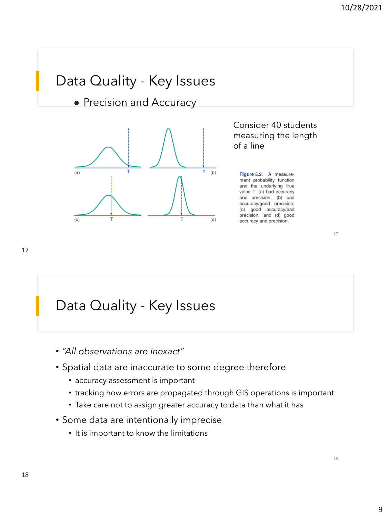### Data Quality - Key Issues

⚫ Precision and Accuracy



Consider 40 students measuring the length of a line

Figure 5.2: A measurement probability function and the underlying true value T: (a) bad accuracy and precision, (b) bad accuracy/good precision, (c) good accuracy/bad precision, and (d) good accuracy and precision.

17

### Data Quality - Key Issues

- *"All observations are inexact"*
- Spatial data are inaccurate to some degree therefore
	- accuracy assessment is important
	- tracking how errors are propagated through GIS operations is important
	- Take care not to assign greater accuracy to data than what it has
- Some data are intentionally imprecise
	- It is important to know the limitations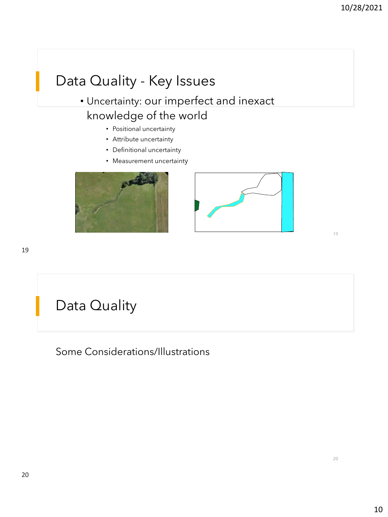# Data Quality - Key Issues

#### • Uncertainty: our imperfect and inexact knowledge of the world

- Positional uncertainty
- Attribute uncertainty
- Definitional uncertainty
- Measurement uncertainty





19

# Data Quality

Some Considerations/Illustrations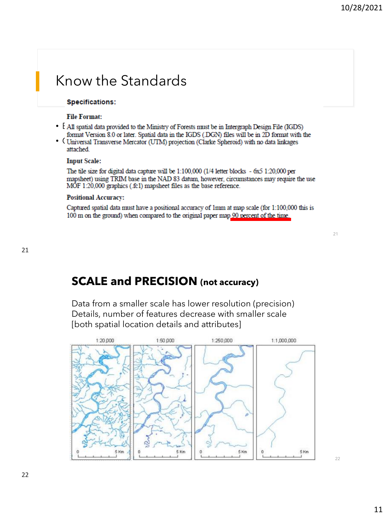#### Know the Standards

#### **Specifications:**

#### **File Format:**

- FAI spatial data provided to the Ministry of Forests must be in Intergraph Design File (IGDS) format Version 8.0 or later. Spatial data in the IGDS (.DGN) files will be in 2D format with the<br>• (Universal Transverse Mercator (UTM) projection (Clarke Spheroid) with no data linkages
- attached.

#### **Input Scale:**

The tile size for digital data capture will be 1:100,000 (1/4 letter blocks - 6x5 1:20,000 per mapsheet) using TRIM base in the NAD 83 datum, however, circumstances may require the use MOF 1:20,000 graphics (.fc1) mapsheet files as the base reference.

#### **Positional Accuracy:**

Captured spatial data must have a positional accuracy of 1mm at map scale (for 1:100,000 this is 100 m on the ground) when compared to the original paper map 90 percent of the time.

# **SCALE and PRECISION (not accuracy)**

Data from a smaller scale has lower resolution (precision) Details, number of features decrease with smaller scale [both spatial location details and attributes]

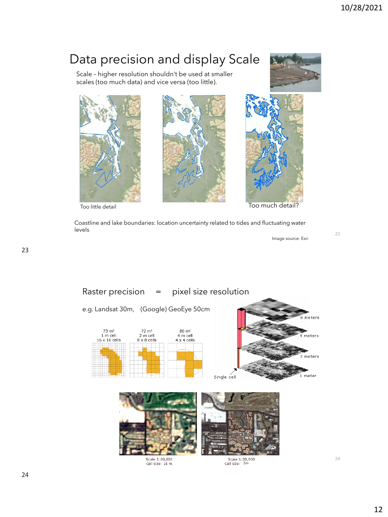#### Data precision and display Scale

Scale – higher resolution shouldn't be used at smaller scales (too much data) and vice versa (too little).









Too little detail

Too much detail?

Coastline and lake boundaries: location uncertainty related to tides and fluctuating water levels

Image source: Esri

meters

meters

eters

meter



Cell size: 15 m



Scale 1:20,000<br>Cell size: 5m

23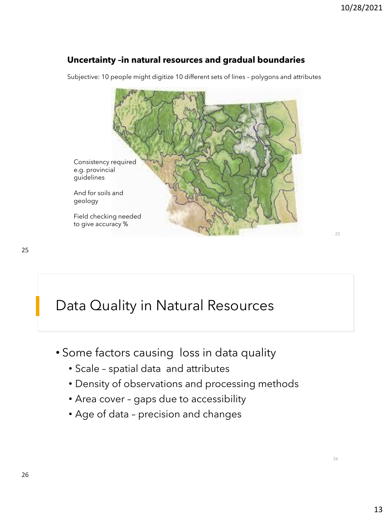#### **Uncertainty –in natural resources and gradual boundaries**

Subjective: 10 people might digitize 10 different sets of lines – polygons and attributes



### Data Quality in Natural Resources

- Some factors causing loss in data quality
	- Scale spatial data and attributes
	- Density of observations and processing methods
	- Area cover gaps due to accessibility
	- Age of data precision and changes